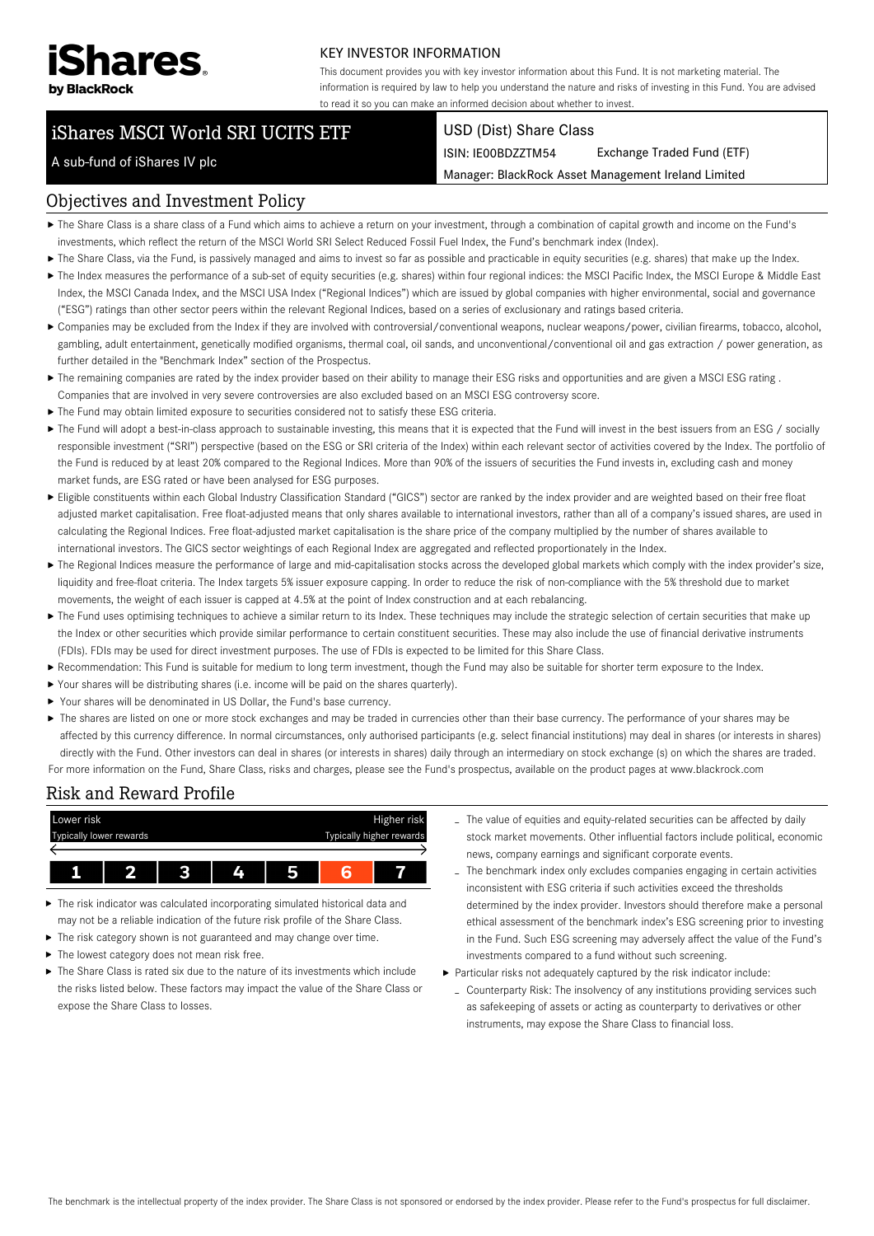

#### KEY INVESTOR INFORMATION

This document provides you with key investor information about this Fund. It is not marketing material. The information is required by law to help you understand the nature and risks of investing in this Fund. You are advised to read it so you can make an informed decision about whether to invest.

# iShares MSCI World SRI UCITS ETF

#### USD (Dist) Share Class

ISIN: IE00BDZZTM54 Exchange Traded Fund (ETF)

Manager: BlackRock Asset Management Ireland Limited

# A sub-fund of iShares IV plc

#### Objectives and Investment Policy

- The Share Class is a share class of a Fund which aims to achieve a return on your investment, through a combination of capital growth and income on the Fund's investments, which reflect the return of the MSCI World SRI Select Reduced Fossil Fuel Index, the Fund's benchmark index (Index).
- ▶ The Share Class, via the Fund, is passively managed and aims to invest so far as possible and practicable in equity securities (e.g. shares) that make up the Index.
- ▶ The Index measures the performance of a sub-set of equity securities (e.g. shares) within four regional indices: the MSCI Pacific Index, the MSCI Europe & Middle East Index, the MSCI Canada Index, and the MSCI USA Index ("Regional Indices") which are issued by global companies with higher environmental, social and governance ("ESG") ratings than other sector peers within the relevant Regional Indices, based on a series of exclusionary and ratings based criteria.
- Companies may be excluded from the Index if they are involved with controversial/conventional weapons, nuclear weapons/power, civilian firearms, tobacco, alcohol, gambling, adult entertainment, genetically modified organisms, thermal coal, oil sands, and unconventional/conventional oil and gas extraction / power generation, as further detailed in the "Benchmark Index" section of the Prospectus.
- ▶ The remaining companies are rated by the index provider based on their ability to manage their ESG risks and opportunities and are given a MSCI ESG rating . Companies that are involved in very severe controversies are also excluded based on an MSCI ESG controversy score.
- The Fund may obtain limited exposure to securities considered not to satisfy these ESG criteria.
- ▶ The Fund will adopt a best-in-class approach to sustainable investing, this means that it is expected that the Fund will invest in the best issuers from an ESG / socially responsible investment ("SRI") perspective (based on the ESG or SRI criteria of the Index) within each relevant sector of activities covered by the Index. The portfolio of the Fund is reduced by at least 20% compared to the Regional Indices. More than 90% of the issuers of securities the Fund invests in, excluding cash and money market funds, are ESG rated or have been analysed for ESG purposes.
- Eligible constituents within each Global Industry Classification Standard ("GICS") sector are ranked by the index provider and are weighted based on their free float adjusted market capitalisation. Free float-adjusted means that only shares available to international investors, rather than all of a company's issued shares, are used in calculating the Regional Indices. Free float-adjusted market capitalisation is the share price of the company multiplied by the number of shares available to international investors. The GICS sector weightings of each Regional Index are aggregated and reflected proportionately in the Index.
- The Regional Indices measure the performance of large and mid-capitalisation stocks across the developed global markets which comply with the index provider's size, liquidity and free-float criteria. The Index targets 5% issuer exposure capping. In order to reduce the risk of non-compliance with the 5% threshold due to market movements, the weight of each issuer is capped at 4.5% at the point of Index construction and at each rebalancing.
- ▶ The Fund uses optimising techniques to achieve a similar return to its Index. These techniques may include the strategic selection of certain securities that make up the Index or other securities which provide similar performance to certain constituent securities. These may also include the use of financial derivative instruments (FDIs). FDIs may be used for direct investment purposes. The use of FDIs is expected to be limited for this Share Class.
- Recommendation: This Fund is suitable for medium to long term investment, though the Fund may also be suitable for shorter term exposure to the Index.
- Your shares will be distributing shares (i.e. income will be paid on the shares quarterly).
- Your shares will be denominated in US Dollar, the Fund's base currency.
- ▶ The shares are listed on one or more stock exchanges and may be traded in currencies other than their base currency. The performance of your shares may be affected by this currency difference. In normal circumstances, only authorised participants (e.g. select financial institutions) may deal in shares (or interests in shares) directly with the Fund. Other investors can deal in shares (or interests in shares) daily through an intermediary on stock exchange (s) on which the shares are traded. For more information on the Fund, Share Class, risks and charges, please see the Fund's prospectus, available on the product pages at www.blackrock.com

## Risk and Reward Profile



- The risk indicator was calculated incorporating simulated historical data and may not be a reliable indication of the future risk profile of the Share Class.
- The risk category shown is not guaranteed and may change over time.
- $\blacktriangleright$  The lowest category does not mean risk free.
- The Share Class is rated six due to the nature of its investments which include the risks listed below. These factors may impact the value of the Share Class or expose the Share Class to losses.
- The value of equities and equity-related securities can be affected by daily stock market movements. Other influential factors include political, economic news, company earnings and significant corporate events.
- The benchmark index only excludes companies engaging in certain activities inconsistent with ESG criteria if such activities exceed the thresholds determined by the index provider. Investors should therefore make a personal ethical assessment of the benchmark index's ESG screening prior to investing in the Fund. Such ESG screening may adversely affect the value of the Fund's investments compared to a fund without such screening.
- Particular risks not adequately captured by the risk indicator include:
- Counterparty Risk: The insolvency of any institutions providing services such as safekeeping of assets or acting as counterparty to derivatives or other instruments, may expose the Share Class to financial loss.